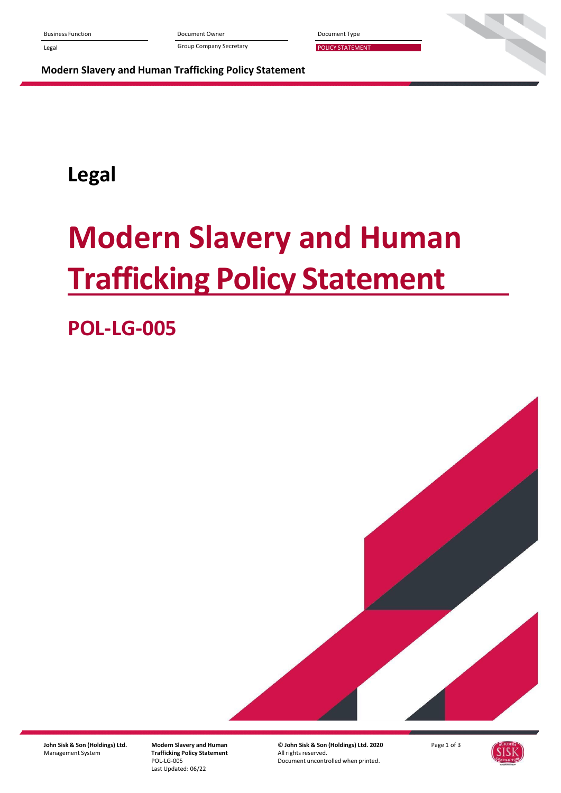Business Function Document Owner Document Type

Legal **Example 20 Transformation** Group Company Secretary **POLICY STATEMENT** 

**Modern Slavery and Human Trafficking Policy Statement**

## **Legal**

# **Modern Slavery and Human Trafficking Policy Statement**

## **POL-LG-005**



**John Sisk & Son (Holdings) Ltd.** Management System

**Modern Slavery and Human Trafficking Policy Statement** POL-LG-005 Last Updated: 06/22

**© John Sisk & Son (Holdings) Ltd. 2020** All rights reserved. Document uncontrolled when printed.

Page 1 of 3

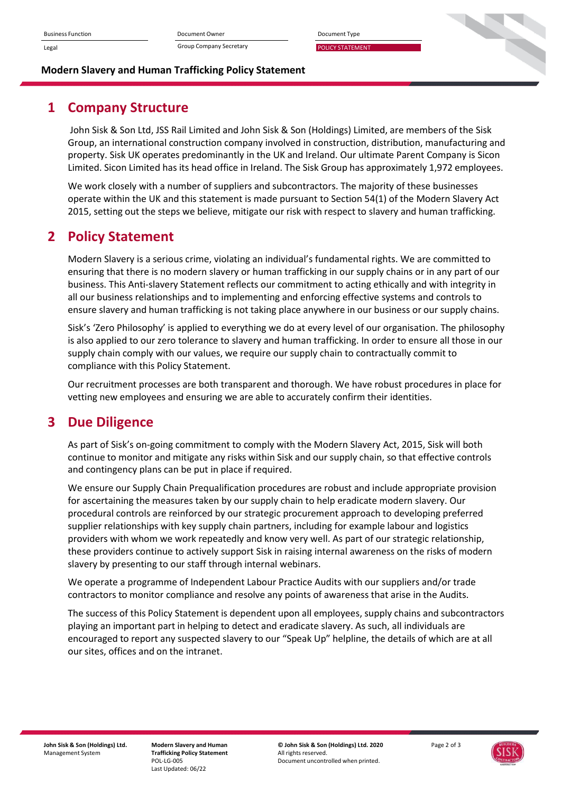

#### **Modern Slavery and Human Trafficking Policy Statement**

### **1 Company Structure**

John Sisk & Son Ltd, JSS Rail Limited and John Sisk & Son (Holdings) Limited, are members of the Sisk Group, an international construction company involved in construction, distribution, manufacturing and property. Sisk UK operates predominantly in the UK and Ireland. Our ultimate Parent Company is Sicon Limited. Sicon Limited has its head office in Ireland. The Sisk Group has approximately 1,972 employees.

We work closely with a number of suppliers and subcontractors. The majority of these businesses operate within the UK and this statement is made pursuant to Section 54(1) of the Modern Slavery Act 2015, setting out the steps we believe, mitigate our risk with respect to slavery and human trafficking.

### **2 Policy Statement**

Modern Slavery is a serious crime, violating an individual's fundamental rights. We are committed to ensuring that there is no modern slavery or human trafficking in our supply chains or in any part of our business. This Anti-slavery Statement reflects our commitment to acting ethically and with integrity in all our business relationships and to implementing and enforcing effective systems and controls to ensure slavery and human trafficking is not taking place anywhere in our business or our supply chains.

Sisk's 'Zero Philosophy' is applied to everything we do at every level of our organisation. The philosophy is also applied to our zero tolerance to slavery and human trafficking. In order to ensure all those in our supply chain comply with our values, we require our supply chain to contractually commit to compliance with this Policy Statement.

Our recruitment processes are both transparent and thorough. We have robust procedures in place for vetting new employees and ensuring we are able to accurately confirm their identities.

#### **3 Due Diligence**

As part of Sisk's on-going commitment to comply with the Modern Slavery Act, 2015, Sisk will both continue to monitor and mitigate any risks within Sisk and our supply chain, so that effective controls and contingency plans can be put in place if required.

We ensure our Supply Chain Prequalification procedures are robust and include appropriate provision for ascertaining the measures taken by our supply chain to help eradicate modern slavery. Our procedural controls are reinforced by our strategic procurement approach to developing preferred supplier relationships with key supply chain partners, including for example labour and logistics providers with whom we work repeatedly and know very well. As part of our strategic relationship, these providers continue to actively support Sisk in raising internal awareness on the risks of modern slavery by presenting to our staff through internal webinars.

We operate a programme of Independent Labour Practice Audits with our suppliers and/or trade contractors to monitor compliance and resolve any points of awareness that arise in the Audits.

The success of this Policy Statement is dependent upon all employees, supply chains and subcontractors playing an important part in helping to detect and eradicate slavery. As such, all individuals are encouraged to report any suspected slavery to our "Speak Up" helpline, the details of which are at all our sites, offices and on the intranet.

**Modern Slavery and Human Trafficking Policy Statement** POL-LG-005 Last Updated: 06/22

**© John Sisk & Son (Holdings) Ltd. 2020** All rights reserved. Document uncontrolled when printed.